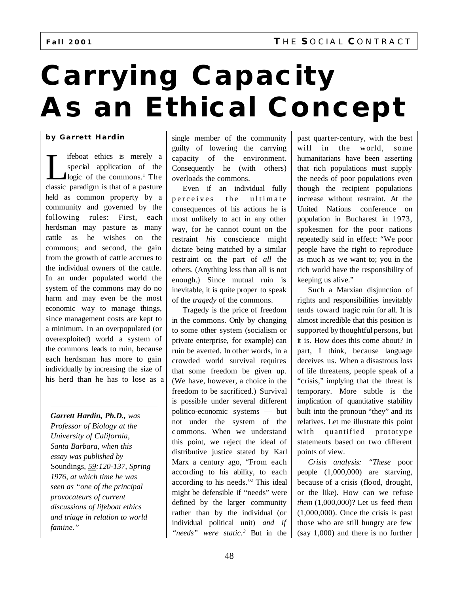# **Carrying Capacity As an Ethical Concept**

### **by Garrett Hardin**

I if eboat ethics is merely a special application of the logic of the commons.<sup>1</sup> The classic paradigm is that of a pasture ifeboat ethics is merely a special application of the logic of the commons.<sup>1</sup> The held as common property by a community and governed by the following rules: First, each herdsman may pasture as many cattle as he wishes on the commons; and second, the gain from the growth of cattle accrues to the individual owners of the cattle. In an under populated world the system of the commons may do no harm and may even be the most economic way to manage things, since management costs are kept to a minimum. In an overpopulated (or overexploited) world a system of the commons leads to ruin, because each herdsman has more to gain individually by increasing the size of his herd than he has to lose as a

*Garrett Hardin, Ph.D., was Professor of Biology at the University of California, Santa Barbara, when this essay was published by* Soundings, *59:120-137, Spring 1976, at which time he was seen as "one of the principal provocateurs of current discussions of lifeboat ethics and triage in relation to world famine."*

single member of the community guilty of lowering the carrying capacity of the environment. Consequently he (with others) overloads the commons.

Even if an individual fully perceives the ultimate consequences of his actions he is most unlikely to act in any other way, for he cannot count on the restraint *his* conscience might dictate being matched by a similar restraint on the part of *all* the others. (Anything less than all is not enough.) Since mutual ruin is inevitable, it is quite proper to speak of the *tragedy* of the commons.

Tragedy is the price of freedom in the commons. Only by changing to some other system (socialism or private enterprise, for example) can ruin be averted. In other words, in a crowded world survival requires that some freedom be given up. (We have, however, a choice in the freedom to be sacrificed.) Survival is possible under several different politico-economic systems — but not under the system of the c ommons. When we understand this point, we reject the ideal of distributive justice stated by Karl Marx a century ago, "From each according to his ability, to each according to his needs."<sup>2</sup> This ideal might be defensible if "needs" were defined by the larger community rather than by the individual (or individual political unit) *and if "needs" were static. <sup>3</sup>* But in the past quarter-century, with the best will in the world, some humanitarians have been asserting that rich populations must supply the needs of poor populations even though the recipient populations increase without restraint. At the United Nations conference on population in Bucharest in 1973, spokesmen for the poor nations repeatedly said in effect: "We poor people have the right to reproduce as muc h as we want to; you in the rich world have the responsibility of keeping us alive."

Such a Marxian disjunction of rights and responsibilities inevitably tends toward tragic ruin for all. It is almost incredible that this position is supported by thoughtful persons, but it is. How does this come about? In part, I think, because language deceives us. When a disastrous loss of life threatens, people speak of a "crisis," implying that the threat is temporary. More subtle is the implication of quantitative stability built into the pronoun "they" and its relatives. Let me illustrate this point with quantified prototype statements based on two different points of view.

*Crisis analysis:* "*These* poor people (1,000,000) are starving, because of a crisis (flood, drought, or the like). How can we refuse *them* (1,000,000)? Let us feed *them*  $(1,000,000)$ . Once the crisis is past those who are still hungry are few (say 1,000) and there is no further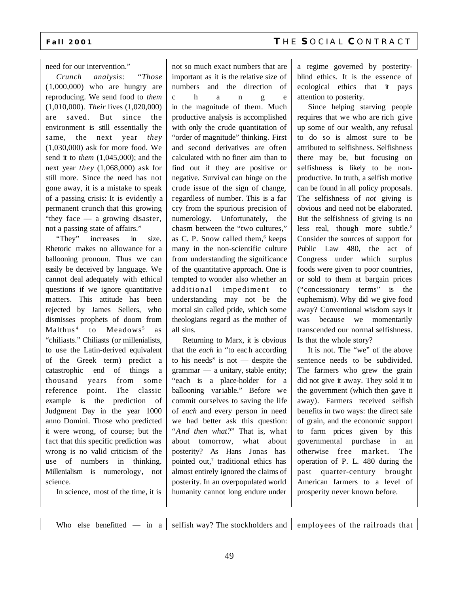need for our intervention."

*Crunch analysis: "Those* (1,000,000) who are hungry are reproducing. We send food to *them* (1,010,000). *Their* lives (1,020,000) are saved. But since the environment is still essentially the same, the next year *they* (1,030,000) ask for more food. We send it to *them* (1,045,000); and the next year *they* (1,068,000) ask for still more. Since the need has not gone away, it is a mistake to speak of a passing crisis: It is evidently a permanent crunch that this growing "they face — a growing disaster, not a passing state of affairs."

"They" increases in size. Rhetoric makes no allowance for a ballooning pronoun. Thus we can easily be deceived by language. We cannot deal adequately with ethical questions if we ignore quantitative matters. This attitude has been rejected by James Sellers, who dismisses prophets of doom from  $\mathrm{Malthus^4}$  to  $\mathrm{Meadows^5}$  as "chiliasts." Chiliasts (or millenialists, to use the Latin-derived equivalent of the Greek term) predict a catastrophic end of things a thousand years from some reference point. The classic example is the prediction of Judgment Day in the year 1000 anno Domini. Those who predicted it were wrong, of course; but the fact that this specific prediction was wrong is no valid criticism of the use of numbers in thinking. Millenialism is numerology, not science.

In science, most of the time, it is

not so much exact numbers that are important as it is the relative size of numbers and the direction of ch an ge in the magnitude of them. Much productive analysis is accomplished with only the crude quantitation of "order of magnitude" thinking. First and second derivatives are often calculated with no finer aim than to find out if they are positive or negative. Survival can hinge on the crude issue of the sign of change, regardless of number. This is a far cry from the spurious precision of numerology. Unfortunately, the chasm between the "two cultures," as C. P. Snow called them, $6$  keeps many in the non-scientific culture from understanding the significance of the quantitative approach. One is tempted to wonder also whether an additional impediment to understanding may not be the mortal sin called pride, which some theologians regard as the mother of all sins.

Returning to Marx, it is obvious that the *each* in "to eac h according to his needs" is not — despite the grammar — a unitary, stable entity; "each is a place-holder for a ballooning variable." Before we commit ourselves to saving the life of *each* and every person in need we had better ask this question: "*And then what?*" That is, what about tomorrow, what about posterity? As Hans Jonas has pointed out, $\tau$  traditional ethics has almost entirely ignored the claims of posterity. In an overpopulated world humanity cannot long endure under

a regime governed by posterityblind ethics. It is the essence of ecological ethics that it pays attention to posterity.

Since helping starving people requires that we who are rich give up some of our wealth, any refusal to do so is almost sure to be attributed to selfishness. Selfishness there may be, but focusing on selfishness is likely to be nonproductive. In truth, a selfish motive can be found in all policy proposals. The selfishness of *not* giving is obvious and need not be elaborated. But the selfishness of giving is no less real, though more subtle.<sup>8</sup> Consider the sources of support for Public Law 480, the act of Congress under which surplus foods were given to poor countries, or sold to them at bargain prices ("concessionary terms" is the euphemism). Why did we give food away? Conventional wisdom says it was because we momentarily transcended our normal selfishness. Is that the whole story?

It is not. The "we" of the above sentence needs to be subdivided. The farmers who grew the grain did not give it away. They sold it to the government (which then gave it away). Farmers received selfish benefits in two ways: the direct sale of grain, and the economic support to farm pric es given by this governmental purchase in an otherwise free market. The operation of P. L. 480 during the past quarter-century brought American farmers to a level of prosperity never known before.

Who else benefitted — in a selfish way? The stockholders and employees of the railroads that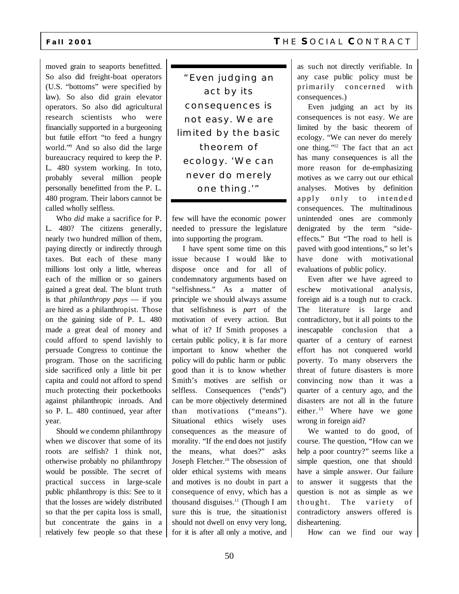moved grain to seaports benefitted. So also did freight-boat operators (U.S. "bottoms" were specified by law). So also did grain elevator operators. So also did agricultural research scientists who were financially supported in a burgeoning but futile effort "to feed a hungry world."<sup>9</sup> And so also did the large bureaucracy required to keep the P. L. 480 system working. In toto, probably several million people personally benefitted from the P. L. 480 program. Their labors cannot be called wholly selfless.

Who *did* make a sacrifice for P. L. 480? The citizens generally, nearly two hundred million of them, paying directly or indirectly through taxes. But each of these many millions lost only a little, whereas each of the million or so gainers gained a great deal. The blunt truth is that *philanthropy pays* — if you are hired as a philanthropist. Those on the gaining side of P. L. 480 made a great deal of money and could afford to spend lavishly to persuade Congress to continue the program. Those on the sacrificing side sacrificed only a little bit per capita and could not afford to spend much protecting their pocketbooks against philanthropic inroads. And so P. L. 480 continued, year after year.

Should we condemn philanthropy when we discover that some of its roots are selfish? I think not, otherwise probably no philanthropy would be possible. The secret of practical success in large-scale public philanthropy is this: See to it that the losses are widely distributed so that the per capita loss is small, but concentrate the gains in a relatively few people so that these

*"Even judging an act by its consequences is not easy. We are limited by the basic theorem of ecology. 'We can never do merely one thing.'"*

few will have the economic power needed to pressure the legislature into supporting the program.

I have spent some time on this issue because I would like to dispose once and for all of condemnatory arguments based on "selfishness." As a matter of principle we should always assume that selfishness is *part* of the motivation of every action. But what of it? If Smith proposes a certain public policy, it is far more important to know whether the policy will do public harm or public good than it is to know whether Smith's motives are selfish or selfless. Consequences ("ends") can be more objectively determined than motivations ("means"). Situational ethics wisely uses consequences as the measure of morality. "If the end does not justify the means, what does?" asks Joseph Fletcher.<sup>10</sup> The obsession of older ethical systems with means and motives is no doubt in part a consequence of envy, which has a thousand disguises.<sup>11</sup> (Though I am sure this is true, the situationist should not dwell on envy very long, for it is after all only a motive, and as such not directly verifiable. In any case public policy must be primarily concerned with consequences.)

Even judging an act by its consequences is not easy. We are limited by the basic theorem of ecology. "We can never do merely one thing."<sup>12</sup> The fact that an act has many consequences is all the more reason for de-emphasizing motives as we carry out our ethical analyses. Motives by definition apply only to intended consequences. The multitudinous unintended ones are commonly denigrated by the term "sideeffects." But "The road to hell is paved with good intentions," so let's have done with motivational evaluations of public policy.

Even after we have agreed to eschew motivational analysis, foreign aid is a tough nut to crack. The literature is large and contradictory, but it all points to the inescapable conclusion that a quarter of a century of earnest effort has not conquered world poverty. To many observers the threat of future disasters is more convincing now than it was a quarter of a century ago, and the disasters are not all in the future either.<sup>13</sup> Where have we gone wrong in foreign aid?

We wanted to do good, of course. The question, "How can we help a poor country?" seems like a simple question, one that should have a simple answer. Our failure to answer it suggests that the question is not as simple as we thought. The variety of contradictory answers offered is disheartening.

How can we find our way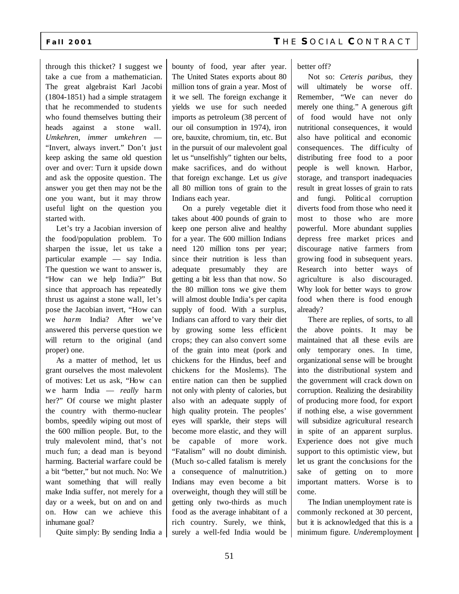through this thicket? I suggest we take a cue from a mathematician. The great algebraist Karl Jacobi (1804-1851) had a simple stratagem that he recommended to students who found themselves butting their heads against a stone wall. *Umkehren, immer umkehren* — "Invert, always invert." Don't just keep asking the same old question over and over: Turn it upside down and ask the opposite question. The answer you get then may not be the one you want, but it may throw useful light on the question you started with.

Let's try a Jacobian inversion of the food/population problem. To sharpen the issue, let us take a particular example — say India. The question we want to answer is, "How can we help India?" But since that approach has repeatedly thrust us against a stone wall, let's pose the Jacobian invert, "How can we *harm* India? After we've answered this perverse question we will return to the original (and proper) one.

As a matter of method, let us grant ourselves the most malevolent of motives: Let us ask, "How can we harm India — *really* harm her?" Of course we might plaster the country with thermo-nuclear bombs, speedily wiping out most of the 600 million people. But, to the truly malevolent mind, that's not much fun; a dead man is beyond harming. Bacterial warfare could be a bit "better," but not much. No: We want something that will really make India suffer, not merely for a day or a week, but on and on and on. How can we achieve this inhumane goal?

Quite simply: By sending India a

bounty of food, year after year. The United States exports about 80 million tons of grain a year. Most of it we sell. The foreign exchange it yields we use for such needed imports as petroleum (38 percent of our oil consumption in 1974), iron ore, bauxite, chromium, tin, etc. But in the pursuit of our malevolent goal let us "unselfishly" tighten our belts, make sacrifices, and do without that foreign exc hange. Let us *give* all 80 million tons of grain to the Indians each year.

On a purely vegetable diet it takes about 400 pounds of grain to keep one person alive and healthy for a year. The 600 million Indians need 120 million tons per year; since their nutrition is less than adequate presumably they are getting a bit less than that now. So the 80 million tons we give them will almost double India's per capita supply of food. With a surplus, Indians can afford to vary their diet by growing some less efficient crops; they can also convert some of the grain into meat (pork and chickens for the Hindus, beef and chickens for the Moslems). The entire nation can then be supplied not only with plenty of calories, but also with an adequate supply of high quality protein. The peoples' eyes will sparkle, their steps will become more elastic, and they will be capable of more work. "Fatalism" will no doubt diminish. (Much so-c alled fatalism is merely a consequence of malnutrition.) Indians may even become a bit overweight, though they will still be getting only two-thirds as much food as the average inhabitant of a rich country. Surely, we think, surely a well-fed India would be

## **Fall 2001 T** HE **S** OCIAL **C** ONTRACT

better off?

Not so: *Ceteris paribus,* they will ultimately be worse off. Remember, "We can never do merely one thing." A generous gift of food would have not only nutritional consequences, it would also have political and economic consequences. The difficulty of distributing free food to a poor people is well known. Harbor, storage, and transport inadequacies result in great losses of grain to rats and fungi. Political corruption diverts food from those who need it most to those who are more powerful. More abundant supplies depress free market prices and discourage native farmers from growing food in subsequent years. Research into better ways of agriculture is also discouraged. Why look for better ways to grow food when there is food enough already?

There are replies, of sorts, to all the above points. It may be maintained that all these evils are only temporary ones. In time, organizational sense will be brought into the distributional system and the government will crack down on corruption. Realizing the desirability of producing more food, for export if nothing else, a wise government will subsidize agricultural research in spite of an apparent surplus. Experience does not give much support to this optimistic view, but let us grant the conclusions for the sake of getting on to more important matters. Worse is to come.

The Indian unemployment rate is commonly reckoned at 30 percent, but it is acknowledged that this is a minimum figure. *Under*employment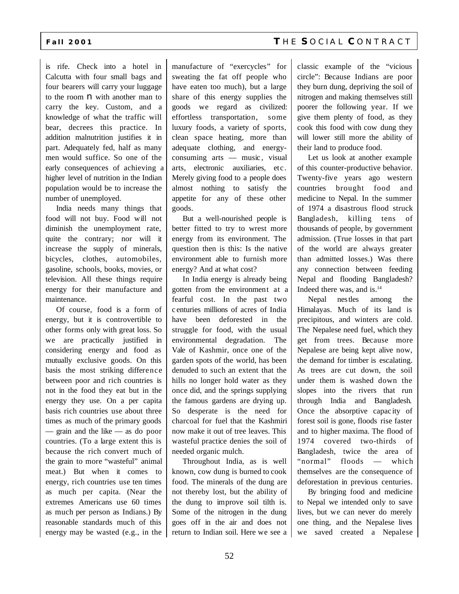is rife. Check into a hotel in Calcutta with four small bags and four bearers will carry your luggage to the room  $\boldsymbol{\mathsf{n}}$  with another man to carry the key. Custom, and a knowledge of what the traffic will bear, decrees this practice. In addition malnutrition justifies it in part. Adequately fed, half as many men would suffice. So one of the early consequences of achieving a higher level of nutrition in the Indian population would be to increase the number of unemployed.

India needs many things that food will not buy. Food will not diminish the unemployment rate, quite the contrary; nor will it increase the supply of minerals, bicycles, clothes, automobiles, gasoline, schools, books, movies, or television. All these things require energy for their manufacture and maintenance.

Of course, food is a form of energy, but it is controvertible to other forms only with great loss. So we are practically justified in considering energy and food as mutually exclusive goods. On this basis the most striking difference between poor and rich countries is not in the food they eat but in the energy they use. On a per capita basis rich countries use about three times as much of the primary goods — grain and the like — as do poor countries. (To a large extent this is because the rich convert much of the grain to more "wasteful" animal meat.) But when it comes to energy, rich countries use ten times as much per capita. (Near the extremes Americans use 60 times as much per person as Indians.) By reasonable standards much of this energy may be wasted (e.g., in the manufacture of "exercycles" for sweating the fat off people who have eaten too much), but a large share of this energy supplies the goods we regard as civilized: effortless transportation, some luxury foods, a variety of sports, clean space heating, more than adequate clothing, and energyconsuming arts — music, visual arts, electronic auxiliaries, etc. Merely giving food to a people does almost nothing to satisfy the appetite for any of these other goods.

But a well-nourished people is better fitted to try to wrest more energy from its environment. The question then is this: Is the native environment able to furnish more energy? And at what cost?

In India energy is already being gotten from the environment at a fearful cost. In the past two c enturies millions of acres of India have been deforested in the struggle for food, with the usual environmental degradation. The Vale of Kashmir, once one of the garden spots of the world, has been denuded to such an extent that the hills no longer hold water as they once did, and the springs supplying the famous gardens are drying up. So desperate is the need for charcoal for fuel that the Kashmiri now make it out of tree leaves. This wasteful practice denies the soil of needed organic mulch.

Throughout India, as is well known, cow dung is burned to cook food. The minerals of the dung are not thereby lost, but the ability of the dung to improve soil tilth is. Some of the nitrogen in the dung goes off in the air and does not return to Indian soil. Here we see a

classic example of the "vicious circle": Because Indians are poor they burn dung, depriving the soil of nitrogen and making themselves still poorer the following year. If we give them plenty of food, as they cook this food with cow dung they will lower still more the ability of their land to produce food.

Let us look at another example of this counter-productive behavior. Twenty-five years ago western countries brought food and medicine to Nepal. In the summer of 1974 a disastrous flood struck Bangladesh, killing tens of thousands of people, by government admission. (True losses in that part of the world are always greater than admitted losses.) Was there any connection between feeding Nepal and flooding Bangladesh? Indeed there was, and is.<sup>14</sup>

Nepal nestles among the Himalayas. Much of its land is precipitous, and winters are cold. The Nepalese need fuel, which they get from trees. Because more Nepalese are being kept alive now, the demand for timber is escalating. As trees are cut down, the soil under them is washed down the slopes into the rivers that run through India and Bangladesh. Once the absorptive capac ity of forest soil is gone, floods rise faster and to higher maxima. The flood of 1974 covered two-thirds of Bangladesh, twice the area of "normal" floods — which themselves are the consequence of deforestation in previous centuries.

By bringing food and medicine to Nepal we intended only to save lives, but we can never do merely one thing, and the Nepalese lives we saved created a Nepalese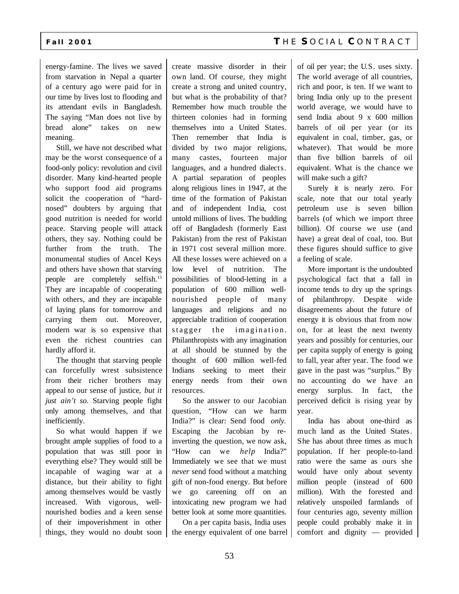energy-famine. The lives we saved from starvation in Nepal a quarter of a century ago were paid for in our time by lives lost to flooding and its attendant evils in Bangladesh. The saying "Man does not live by bread alone" takes on new meaning.

Still, we have not described what may be the worst consequence of a food-only policy: revolution and civil disorder. Many kind-hearted people who support food aid programs solicit the cooperation of "hardnosed" doubters by arguing that good nutrition is needed for world peace. Starving people will attack others, they say. Nothing could be further from the truth. The monumental studies of Ancel Keys and others have shown that starving people are completely selfish.<sup>15</sup> They are incapable of cooperating with others, and they are incapable of laying plans for tomorrow and carrying them out. Moreover, modern war is so expensive that even the richest countries can hardly afford it.

The thought that starving people can forcefully wrest subsistence from their richer brothers may appeal to our sense of justice, *but it just ain't so.* Starving people fight only among themselves, and that inefficiently.

So what would happen if we brought ample supplies of food to a population that was still poor in everything else? They would still be incapable of waging war at a distance, but their ability to fight among themselves would be vastly increased. With vigorous, wellnourished bodies and a keen sense of their impoverishment in other things, they would no doubt soon create massive disorder in their own land. Of course, they might create a strong and united country, but what is the probability of that? Remember how much trouble the thirteen colonies had in forming themselves into a United States. Then remember that India is divided by two major religions, many castes, fourteen major languages, and a hundred dialects. A partial separation of peoples along religious lines in 1947, at the time of the formation of Pakistan and of independent India, cost untold millions of lives. The budding off of Bangladesh (formerly East Pakistan) from the rest of Pakistan in 1971 cost several million more. All these losses were achieved on a low level of nutrition. The possibilities of blood-letting in a population of 600 million wellnourished people of many languages and religions and no appreciable tradition of cooperation stagger the imagination. Philanthropists with any imagination at all should be stunned by the thought of 600 million well-fed Indians seeking to meet their energy needs from their own resources.

So the answer to our Jacobian question, "How can we harm India?" is clear: Send food *only.* Escaping the Jacobian by reinverting the question, we now ask, "How can we *help* India?" Immediately we see that we must *never* send food without a matching gift of non-food energy. But before we go careening off on an intoxicating new program we had better look at some more quantities.

On a per capita basis, India uses the energy equivalent of one barrel

of oil per year; the U.S. uses sixty. The world average of all countries, rich and poor, is ten. If we want to bring India only up to the present world average, we would have to send India about 9 x 600 million barrels of oil per year (or its equivalent in coal, timber, gas, or whatever). That would be more than five billion barrels of oil equivalent. What is the chance we will make such a gift?

Surely it is nearly zero. For scale, note that our total yearly petroleum use is seven billion barrels (of which we import three billion). Of course we use (and have) a great deal of coal, too. But these figures should suffice to give a feeling of scale.

More important is the undoubted psychological fact that a fall in income tends to dry up the springs of philanthropy. Despite wide disagreements about the future of energy it is obvious that from now on, for at least the next twenty years and possibly for centuries, our per capita supply of energy is going to fall, year after year. The food we gave in the past was "surplus." By no accounting do we have an energy surplus. In fact, the perceived deficit is rising year by year.

India has about one-third as much land as the United States. She has about three times as muc h population. If her people-to-land ratio were the same as ours she would have only about seventy million people (instead of 600 million). With the forested and relatively unspoiled farmlands of four centuries ago, seventy million people could probably make it in comfort and dignity — provided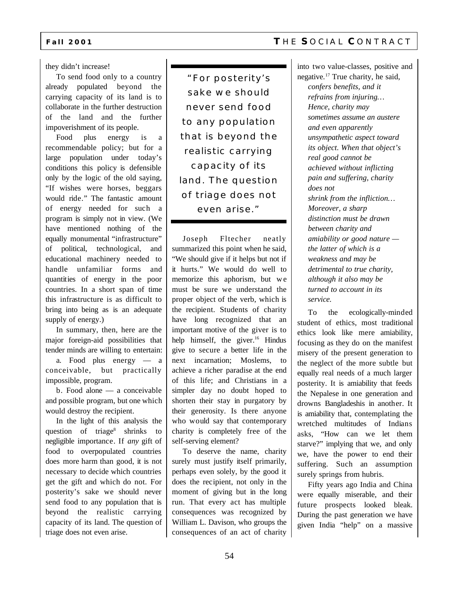they didn't increase!

To send food only to a country already populated beyond the carrying capacity of its land is to collaborate in the further destruction of the land and the further impoverishment of its people.

Food plus energy is a recommendable policy; but for a large population under today's conditions this policy is defensible only by the logic of the old saying, "If wishes were horses, beggars would ride." The fantastic amount of energy needed for such a program is simply not in view. (We have mentioned nothing of the equally monumental "infrastructure" of political, technological, and educational machinery needed to handle unfamiliar forms and quantities of energy in the poor countries. In a short span of time this infrastructure is as difficult to bring into being as is an adequate supply of energy.)

In summary, then, here are the major foreign-aid possibilities that tender minds are willing to entertain:

a. Food plus energy — a conceivable, but practically impossible, program.

b. Food alone — a conceivable and possible program, but one which would destroy the recipient.

In the light of this analysis the question of triage<sup>8</sup> shrinks to negligible importance. If *any* gift of food to overpopulated countries does more harm than good, it is not necessary to decide which countries get the gift and which do not. For posterity's sake we should never send food to any population that is beyond the realistic carrying capacity of its land. The question of triage does not even arise.

*"For posterity's sake we should never send food to any population that is beyond the realistic carrying capacity of its land. The question of triage does not even arise."*

Joseph Fltecher neatly summarized this point when he said, "We should give if it helps but not if it hurts." We would do well to memorize this aphorism, but we must be sure we understand the proper object of the verb, which is the recipient. Students of charity have long recognized that an important motive of the giver is to help himself, the giver.<sup>16</sup> Hindus give to secure a better life in the next incarnation; Moslems, to achieve a richer paradise at the end of this life; and Christians in a simpler day no doubt hoped to shorten their stay in purgatory by their generosity. Is there anyone who would say that contemporary charity is completely free of the self-serving element?

To deserve the name, charity surely must justify itself primarily, perhaps even solely, by the good it does the recipient, not only in the moment of giving but in the long run. That every act has multiple consequences was recognized by William L. Davison, who groups the consequences of an act of charity

**Fall 2001 T** HE **S** OCIAL **C** ONTRACT

into two value-classes, positive and negative.<sup>17</sup> True charity, he said,

*confers benefits, and it refrains from injuring… Hence, charity may sometimes assume an austere and even apparently unsympathetic aspect toward its object. When that object's real good cannot be achieved without inflicting pain and suffering, charity does not shrink from the infliction… Moreover, a sharp distinction must be drawn between charity and amiability or good nature the latter of which is a weakness and may be detrimental to true charity, although it also may be turned to account in its service.*

To the ecologically-minded student of ethics, most traditional ethics look like mere amiability, focusing as they do on the manifest misery of the present generation to the neglect of the more subtle but equally real needs of a much larger posterity. It is amiability that feeds the Nepalese in one generation and drowns Bangladeshis in another. It is amiability that, contemplating the wretched multitudes of Indians asks, "How can we let them starve?" implying that we, and only we, have the power to end their suffering. Such an assumption surely springs from hubris.

Fifty years ago India and China were equally miserable, and their future prospects looked bleak. During the past generation we have given India "help" on a massive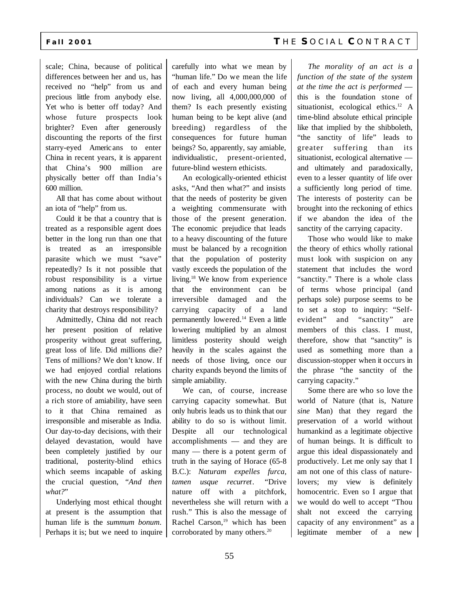scale; China, because of political differences between her and us, has received no "help" from us and precious little from anybody else. Yet who is better off today? And whose future prospects look brighter? Even after generously discounting the reports of the first starry-eyed Americans to enter China in recent years, it is apparent that China's 900 million are physically better off than India's 600 million.

All that has come about without an iota of "help" from us.

Could it be that a country that is treated as a responsible agent does better in the long run than one that is treated as an irresponsible parasite which we must "save" repeatedly? Is it not possible that robust responsibility is a virtue among nations as it is among individuals? Can we tolerate a charity that destroys responsibility?

Admittedly, China did not reach her present position of relative prosperity without great suffering, great loss of life. Did millions die? Tens of millions? We don't know. If we had enjoyed cordial relations with the new China during the birth process, no doubt we would, out of a rich store of amiability, have seen to it that China remained as irresponsible and miserable as India. Our day-to-day decisions, with their delayed devastation, would have been completely justified by our traditional, posterity-blind ethics which seems incapable of asking the crucial question, "*And then what?*"

Underlying most ethical thought at present is the assumption that human life is the *summum bonum*. Perhaps it is; but we need to inquire carefully into what we mean by "human life." Do we mean the life of each and every human being now living, all 4,000,000,000 of them? Is each presently existing human being to be kept alive (and breeding) regardless of the consequences for future human beings? So, apparently, say amiable, individualistic, present-oriented, future-blind western ethicists.

An ecologically-oriented ethicist asks, "And then what?" and insists that the needs of posterity be given a weighting commensurate with those of the present generation. The economic prejudice that leads to a heavy discounting of the future must be balanced by a recognition that the population of posterity vastly exceeds the population of the living.<sup>18</sup> We know from experience that the environment can be irreversible damaged and the carrying capacity of a land permanently lowered.<sup>14</sup> Even a little lowering multiplied by an almost limitless posterity should weigh heavily in the scales against the needs of those living, once our charity expands beyond the limits of simple amiability.

We can, of course, increase carrying capacity somewhat. But only hubris leads us to think that our ability to do so is without limit. Despite all our technological accomplishments — and they are many — there is a potent germ of truth in the saying of Horace (65-8 B.C.): *Naturam expelles furca, tamen usque recurret.* "Drive nature off with a pitchfork, nevertheless she will return with a rush." This is also the message of Rachel Carson.<sup>19</sup> which has been corroborated by many others.<sup>20</sup>

### **Fall 2001 T** HE **S** OCIAL **C** ONTRACT

*The morality of an act is a function of the state of the system at the time the act is performed* this is the foundation stone of situationist, ecological ethics.<sup>12</sup> A time-blind absolute ethical principle like that implied by the shibboleth, "the sanctity of life" leads to greater suffering than its situationist, ecological alternative and ultimately and paradoxically, even to a lesser quantity of life over a sufficiently long period of time. The interests of posterity can be brought into the reckoning of ethics if we abandon the idea of the sanctity of the carrying capacity.

Those who would like to make the theory of ethics wholly rational must look with suspicion on any statement that includes the word "sanctity." There is a whole class of terms whose principal (and perhaps sole) purpose seems to be to set a stop to inquiry: "Selfevident" and "sanctity" are members of this class. I must, therefore, show that "sanctity" is used as something more than a discussion-stopper when it occurs in the phrase "the sanctity of the carrying capacity."

Some there are who so love the world of Nature (that is, Nature *sine* Man) that they regard the preservation of a world without humankind as a legitimate objective of human beings. It is difficult to argue this ideal dispassionately and productively. Let me only say that I am not one of this class of naturelovers; my view is definitely homocentric. Even so I argue that we would do well to accept "Thou shalt not exceed the carrying capacity of any environment" as a legitimate member of a new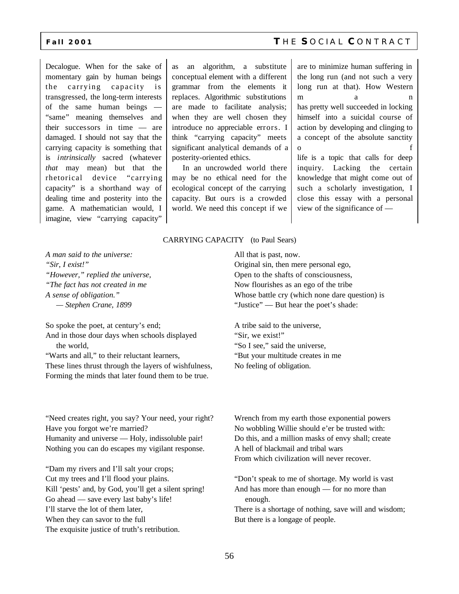Decalogue. When for the sake of momentary gain by human beings the carrying capacity is transgressed, the long-term interests of the same human beings — "same" meaning themselves and their successors in time — are damaged. I should not say that the carrying capacity is something that is *intrinsically* sacred (whatever *that* may mean) but that the rhetorical device "carrying capacity" is a shorthand way of dealing time and posterity into the game. A mathematician would, I imagine, view "carrying capacity"

as an algorithm, a substitute conceptual element with a different grammar from the elements it replaces. Algorithmic substitutions are made to facilitate analysis; when they are well chosen they introduce no appreciable errors. I think "carrying capacity" meets significant analytical demands of a posterity-oriented ethics.

In an uncrowded world there may be no ethical need for the ecological concept of the carrying capacity. But ours is a crowded world. We need this concept if we

# **Fall 2001 T** HE **S** OCIAL **C** ONTRACT

are to minimize human suffering in the long run (and not such a very long run at that). How Western m a n has pretty well succeeded in locking himself into a suicidal course of action by developing and clinging to a concept of the absolute sanctity o f life is a topic that calls for deep inquiry. Lacking the certain knowledge that might come out of such a scholarly investigation, I close this essay with a personal view of the significance of —

### CARRYING CAPACITY (to Paul Sears)

*A man said to the universe: "Sir, I exist!" "However," replied the universe, "The fact has not created in me A sense of obligation." — Stephen Crane, 1899*

So spoke the poet, at century's end;

And in those dour days when schools displayed the world,

"Warts and all," to their reluctant learners, These lines thrust through the layers of wishfulness, Forming the minds that later found them to be true.

All that is past, now. Original sin, then mere personal ego, Open to the shafts of consciousness, Now flourishes as an ego of the tribe Whose battle cry (which none dare question) is "Justice" — But hear the poet's shade:

A tribe said to the universe, "Sir, we exist!" "So I see," said the universe, "But your multitude creates in me No feeling of obligation.

"Need creates right, you say? Your need, your right? Have you forgot we're married? Humanity and universe — Holy, indissoluble pair! Nothing you can do escapes my vigilant response.

"Dam my rivers and I'll salt your crops; Cut my trees and I'll flood your plains. Kill 'pests' and, by God, you'll get a silent spring! Go ahead — save every last baby's life! I'll starve the lot of them later, When they can savor to the full The exquisite justice of truth's retribution.

Wrench from my earth those exponential powers No wobbling Willie should e'er be trusted with: Do this, and a million masks of envy shall; create A hell of blackmail and tribal wars From which civilization will never recover.

"Don't speak to me of shortage. My world is vast And has more than enough — for no more than enough.

There is a shortage of nothing, save will and wisdom; But there is a longage of people.